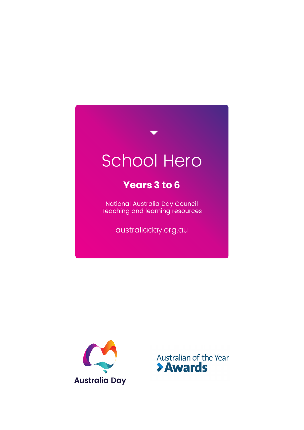# School Hero

### **Years 3 to 6**

National Australia Day Council Teaching and learning resources

australiaday.org.au



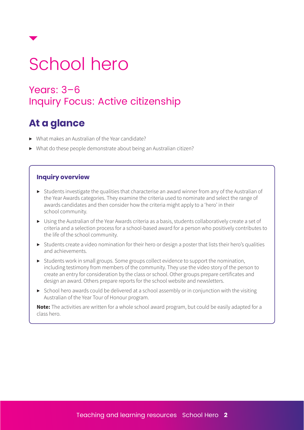

# School hero

### Years: 3–6 Inquiry Focus: Active citizenship

## **At a glance**

- ▶ What makes an Australian of the Year candidate?
- ▶ What do these people demonstrate about being an Australian citizen?

#### **Inquiry overview**

- ▶ Students investigate the qualities that characterise an award winner from any of the Australian of the Year Awards categories. They examine the criteria used to nominate and select the range of awards candidates and then consider how the criteria might apply to a 'hero' in their school community.
- ▶ Using the Australian of the Year Awards criteria as a basis, students collaboratively create a set of criteria and a selection process for a school-based award for a person who positively contributes to the life of the school community.
- ▶ Students create a video nomination for their hero or design a poster that lists their hero's qualities and achievements.
- ▶ Students work in small groups. Some groups collect evidence to support the nomination, including testimony from members of the community. They use the video story of the person to create an entry for consideration by the class or school. Other groups prepare certificates and design an award. Others prepare reports for the school website and newsletters.
- $\triangleright$  School hero awards could be delivered at a school assembly or in conjunction with the visiting Australian of the Year Tour of Honour program.

**Note:** The activities are written for a whole school award program, but could be easily adapted for a class hero.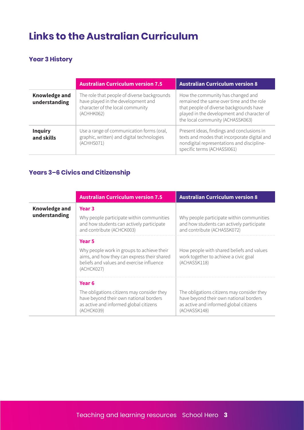## **Links to the Australian Curriculum**

#### **Year 3 History**

|                                       | <b>Australian Curriculum version 7.5</b>                                                                                            | <b>Australian Curriculum version 8</b>                                                                                                                                                                     |  |  |
|---------------------------------------|-------------------------------------------------------------------------------------------------------------------------------------|------------------------------------------------------------------------------------------------------------------------------------------------------------------------------------------------------------|--|--|
| <b>Knowledge and</b><br>understanding | The role that people of diverse backgrounds<br>have played in the development and<br>character of the local community<br>(ACHHK062) | How the community has changed and<br>remained the same over time and the role<br>that people of diverse backgrounds have<br>played in the development and character of<br>the local community (ACHASSK063) |  |  |
| <b>Inquiry</b><br>and skills          | Use a range of communication forms (oral,<br>graphic, written) and digital technologies<br>(ACHHS071)                               | Present ideas, findings and conclusions in<br>texts and modes that incorporate digital and<br>nondigital representations and discipline-<br>specific terms (ACHASSI061)                                    |  |  |

### **Years 3–6 Civics and Citizenship**

|                      | <b>Australian Curriculum version 7.5</b>                                                                                                             | <b>Australian Curriculum version 8</b>                                                                                                         |
|----------------------|------------------------------------------------------------------------------------------------------------------------------------------------------|------------------------------------------------------------------------------------------------------------------------------------------------|
| <b>Knowledge and</b> | Year <sub>3</sub>                                                                                                                                    |                                                                                                                                                |
| understanding        | Why people participate within communities<br>and how students can actively participate<br>and contribute (ACHCK003)                                  | Why people participate within communities<br>and how students can actively participate<br>and contribute (ACHASSK072)                          |
|                      | Year <sub>5</sub>                                                                                                                                    |                                                                                                                                                |
|                      | Why people work in groups to achieve their<br>aims, and how they can express their shared<br>beliefs and values and exercise influence<br>(ACHCK027) | How people with shared beliefs and values<br>work together to achieve a civic goal<br>(ACHASSK118)                                             |
|                      | Year <sub>6</sub>                                                                                                                                    |                                                                                                                                                |
|                      | The obligations citizens may consider they<br>have beyond their own national borders<br>as active and informed global citizens<br>(ACHCK039)         | The obligations citizens may consider they<br>have beyond their own national borders<br>as active and informed global citizens<br>(ACHASSK148) |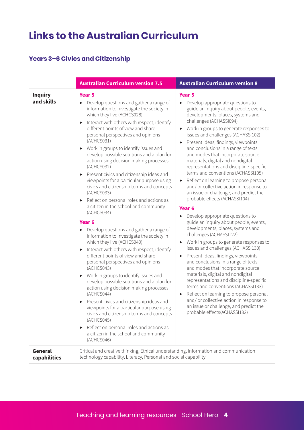# **Links to the Australian Curriculum**

### **Years 3–6 Civics and Citizenship**

|                                | <b>Australian Curriculum version 7.5</b>                                                                                                                                                                                                                                                                                                                                                                                                                                                                                                                                                                                                                                                                                                                                                                                                                                                                                                                                                                                                                                                                                                                                                                                                                                                                                                                                                                                | <b>Australian Curriculum version 8</b>                                                                                                                                                                                                                                                                                                                                                                                                                                                                                                                                                                                                                                                                                                                                                                                                                                                                                                                                                                                                                                                                                                                                                                                                                                                                                                                          |
|--------------------------------|-------------------------------------------------------------------------------------------------------------------------------------------------------------------------------------------------------------------------------------------------------------------------------------------------------------------------------------------------------------------------------------------------------------------------------------------------------------------------------------------------------------------------------------------------------------------------------------------------------------------------------------------------------------------------------------------------------------------------------------------------------------------------------------------------------------------------------------------------------------------------------------------------------------------------------------------------------------------------------------------------------------------------------------------------------------------------------------------------------------------------------------------------------------------------------------------------------------------------------------------------------------------------------------------------------------------------------------------------------------------------------------------------------------------------|-----------------------------------------------------------------------------------------------------------------------------------------------------------------------------------------------------------------------------------------------------------------------------------------------------------------------------------------------------------------------------------------------------------------------------------------------------------------------------------------------------------------------------------------------------------------------------------------------------------------------------------------------------------------------------------------------------------------------------------------------------------------------------------------------------------------------------------------------------------------------------------------------------------------------------------------------------------------------------------------------------------------------------------------------------------------------------------------------------------------------------------------------------------------------------------------------------------------------------------------------------------------------------------------------------------------------------------------------------------------|
| <b>Inquiry</b><br>and skills   | <b>Year 5</b><br>Develop questions and gather a range of<br>information to investigate the society in<br>which they live (ACHCS028)<br>Interact with others with respect, identify<br>▶<br>different points of view and share<br>personal perspectives and opinions<br>(ACHCS031)<br>Work in groups to identify issues and<br>▶<br>develop possible solutions and a plan for<br>action using decision making processes<br>(ACHCS032)<br>Present civics and citizenship ideas and<br>▶<br>viewpoints for a particular purpose using<br>civics and citizenship terms and concepts<br>(ACHCS033)<br>Reflect on personal roles and actions as<br>▶<br>a citizen in the school and community<br>(ACHCS034)<br>Year <sub>6</sub><br>Develop questions and gather a range of<br>▶<br>information to investigate the society in<br>which they live (ACHCS040)<br>Interact with others with respect, identify<br>▶<br>different points of view and share<br>personal perspectives and opinions<br>(ACHCS043)<br>Work in groups to identify issues and<br>▶<br>develop possible solutions and a plan for<br>action using decision making processes<br>(ACHCS044)<br>Present civics and citizenship ideas and<br>▶<br>viewpoints for a particular purpose using<br>civics and citizenship terms and concepts<br>(ACHCS045)<br>Reflect on personal roles and actions as<br>▶<br>a citizen in the school and community<br>(ACHCS046) | <b>Year 5</b><br>$\triangleright$ Develop appropriate questions to<br>guide an inquiry about people, events,<br>developments, places, systems and<br>challenges (ACHASSI094)<br>Work in groups to generate responses to<br>issues and challenges (ACHASSI102)<br>Present ideas, findings, viewpoints<br>▶<br>and conclusions in a range of texts<br>and modes that incorporate source<br>materials, digital and nondigital<br>representations and discipline-specific<br>terms and conventions (ACHASSI105)<br>Reflect on learning to propose personal<br>▶<br>and/ or collective action in response to<br>an issue or challenge, and predict the<br>probable effects (ACHASSI104)<br>Year <sub>6</sub><br>Develop appropriate questions to<br>▶<br>guide an inquiry about people, events,<br>developments, places, systems and<br>challenges (ACHASSI122)<br>Work in groups to generate responses to<br>issues and challenges (ACHASSI130)<br>Present ideas, findings, viewpoints<br>▶<br>and conclusions in a range of texts<br>and modes that incorporate source<br>materials, digital and nondigital<br>representations and discipline-specific<br>terms and conventions (ACHASSI133)<br>Reflect on learning to propose personal<br>▶<br>and/ or collective action in response to<br>an issue or challenge, and predict the<br>probable effects(ACHASSI132) |
| <b>General</b><br>capabilities | Critical and creative thinking, Ethical understanding, Information and communication<br>technology capability, Literacy, Personal and social capability                                                                                                                                                                                                                                                                                                                                                                                                                                                                                                                                                                                                                                                                                                                                                                                                                                                                                                                                                                                                                                                                                                                                                                                                                                                                 |                                                                                                                                                                                                                                                                                                                                                                                                                                                                                                                                                                                                                                                                                                                                                                                                                                                                                                                                                                                                                                                                                                                                                                                                                                                                                                                                                                 |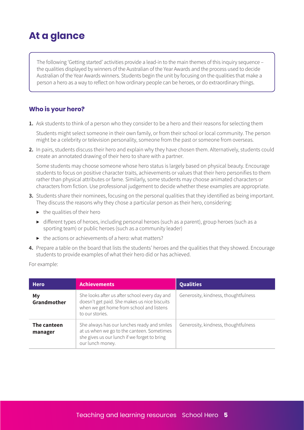## **At a glance**

The following 'Getting started' activities provide a lead-in to the main themes of this inquiry sequence – the qualities displayed by winners of the Australian of the Year Awards and the process used to decide Australian of the Year Awards winners. Students begin the unit by focusing on the qualities that make a person a hero as a way to reflect on how ordinary people can be heroes, or do extraordinary things.

#### **Who is your hero?**

**1.** Ask students to think of a person who they consider to be a hero and their reasons for selecting them

Students might select someone in their own family, or from their school or local community. The person might be a celebrity or television personality, someone from the past or someone from overseas.

**2.** In pairs, students discuss their hero and explain why they have chosen them. Alternatively, students could create an annotated drawing of their hero to share with a partner.

Some students may choose someone whose hero status is largely based on physical beauty. Encourage students to focus on positive character traits, achievements or values that their hero personifies to them rather than physical attributes or fame. Similarly, some students may choose animated characters or characters from fiction. Use professional judgement to decide whether these examples are appropriate.

- **3.** Students share their nominees, focusing on the personal qualities that they identified as being important. They discuss the reasons why they chose a particular person as their hero, considering:
	- $\blacktriangleright$  the qualities of their hero
	- ▶ different types of heroes, including personal heroes (such as a parent), group heroes (such as a sporting team) or public heroes (such as a community leader)
	- $\blacktriangleright$  the actions or achievements of a hero: what matters?
- **4.** Prepare a table on the board that lists the students' heroes and the qualities that they showed. Encourage students to provide examples of what their hero did or has achieved.

For example:

| <b>Hero</b>            | <b>Achievements</b>                                                                                                                                           | <b>Qualities</b>                     |
|------------------------|---------------------------------------------------------------------------------------------------------------------------------------------------------------|--------------------------------------|
| My<br>Grandmother      | She looks after us after school every day and<br>doesn't get paid. She makes us nice biscuits<br>when we get home from school and listens<br>to our stories.  | Generosity, kindness, thoughtfulness |
| The canteen<br>manager | She always has our lunches ready and smiles<br>at us when we go to the canteen. Sometimes<br>she gives us our lunch if we forget to bring<br>our lunch money. | Generosity, kindness, thoughtfulness |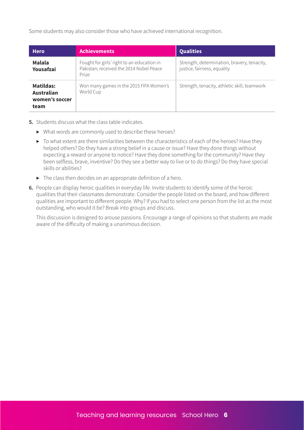Some students may also consider those who have achieved international recognition.

| <b>Hero</b>                                       | <b>Achievements</b>                                                                            | <b>Qualities</b>                                                           |
|---------------------------------------------------|------------------------------------------------------------------------------------------------|----------------------------------------------------------------------------|
| Malala<br>Yousafzai                               | Fought for girls' right to an education in<br>Pakistan; received the 2014 Nobel Peace<br>Prize | Strength, determination, bravery, tenacity,<br>justice, fairness, equality |
| Matildas:<br>Australian<br>women's soccer<br>team | Won many games in the 2015 FIFA Women's<br>World Cup                                           | Strength, tenacity, athletic skill, teamwork                               |

- **5.** Students discuss what the class table indicates.
	- ▶ What words are commonly used to describe these heroes?
	- ▶ To what extent are there similarities between the characteristics of each of the heroes? Have they helped others? Do they have a strong belief in a cause or issue? Have they done things without expecting a reward or anyone to notice? Have they done something for the community? Have they been selfless, brave, inventive? Do they see a better way to live or to do things? Do they have special skills or abilities?
	- $\triangleright$  The class then decides on an appropriate definition of a hero.
- **6.** People can display heroic qualities in everyday life. Invite students to identify some of the heroic qualities that their classmates demonstrate. Consider the people listed on the board, and how different qualities are important to different people. Why? If you had to select one person from the list as the most outstanding, who would it be? Break into groups and discuss.

This discussion is designed to arouse passions. Encourage a range of opinions so that students are made aware of the difficulty of making a unanimous decision.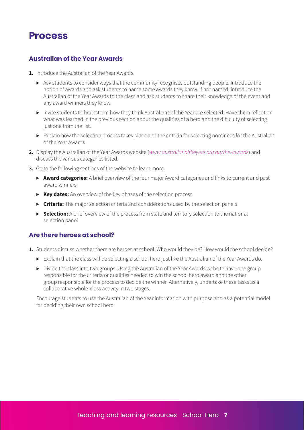### **Process**

#### **Australian of the Year Awards**

- **1.** Introduce the Australian of the Year Awards.
	- $\triangleright$  Ask students to consider ways that the community recognises outstanding people. Introduce the notion of awards and ask students to name some awards they know. If not named, introduce the Australian of the Year Awards to the class and ask students to share their knowledge of the event and any award winners they know.
	- ▶ Invite students to brainstorm how they think Australians of the Year are selected. Have them reflect on what was learned in the previous section about the qualities of a hero and the difficulty of selecting just one from the list.
	- ▶ Explain how the selection process takes place and the criteria for selecting nominees for the Australian of the Year Awards.
- **2.** Display the Australian of the Year Awards website (*www.australianoftheyear.org.au/the-awards*) and discuss the various categories listed.
- **3.** Go to the following sections of the website to learn more.
	- ▶ **Award categories:** A brief overview of the four major Award categories and links to current and past award winners
	- ▶ **Key dates:** An overview of the key phases of the selection process
	- ▶ **Criteria:** The major selection criteria and considerations used by the selection panels
	- ▶ **Selection:** A brief overview of the process from state and territory selection to the national selection panel

#### **Are there heroes at school?**

- 1. Students discuss whether there are heroes at school. Who would they be? How would the school decide?
	- ▶ Explain that the class will be selecting a school hero just like the Australian of the Year Awards do.
	- ▶ Divide the class into two groups. Using the Australian of the Year Awards website have one group responsible for the criteria or qualities needed to win the school hero award and the other group responsible for the process to decide the winner. Alternatively, undertake these tasks as a collaborative whole-class activity in two stages.

Encourage students to use the Australian of the Year information with purpose and as a potential model for deciding their own school hero.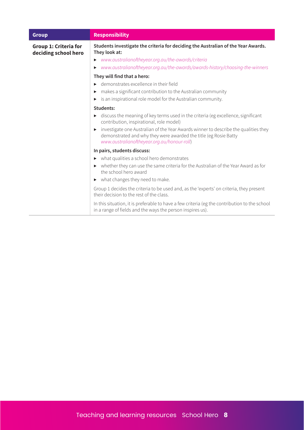| <b>Group</b>                                         | <b>Responsibility</b>                                                                                                                                                                                                                               |
|------------------------------------------------------|-----------------------------------------------------------------------------------------------------------------------------------------------------------------------------------------------------------------------------------------------------|
| <b>Group 1: Criteria for</b><br>deciding school hero | Students investigate the criteria for deciding the Australian of the Year Awards.<br>They look at:<br>www.australianoftheyear.org.au/the-awards/criteria<br>▶<br>www.australianoftheyear.org.au/the-awards/awards-history/choosing-the-winners<br>▶ |
|                                                      | They will find that a hero:                                                                                                                                                                                                                         |
|                                                      | demonstrates excellence in their field                                                                                                                                                                                                              |
|                                                      | makes a significant contribution to the Australian community<br>▶                                                                                                                                                                                   |
|                                                      | is an inspirational role model for the Australian community.<br>▶                                                                                                                                                                                   |
|                                                      | Students:                                                                                                                                                                                                                                           |
|                                                      | discuss the meaning of key terms used in the criteria (eg excellence, significant<br>▶<br>contribution, inspirational, role model)                                                                                                                  |
|                                                      | investigate one Australian of the Year Awards winner to describe the qualities they<br>▶<br>demonstrated and why they were awarded the title (eg Rosie Batty<br>www.australianoftheyear.org.au/honour-roll)                                         |
|                                                      | In pairs, students discuss:                                                                                                                                                                                                                         |
|                                                      | what qualities a school hero demonstrates<br>▶                                                                                                                                                                                                      |
|                                                      | whether they can use the same criteria for the Australian of the Year Award as for<br>the school hero award                                                                                                                                         |
|                                                      | what changes they need to make.<br>▶                                                                                                                                                                                                                |
|                                                      | Group 1 decides the criteria to be used and, as the 'experts' on criteria, they present<br>their decision to the rest of the class.                                                                                                                 |
|                                                      | In this situation, it is preferable to have a few criteria (eg the contribution to the school<br>in a range of fields and the ways the person inspires us).                                                                                         |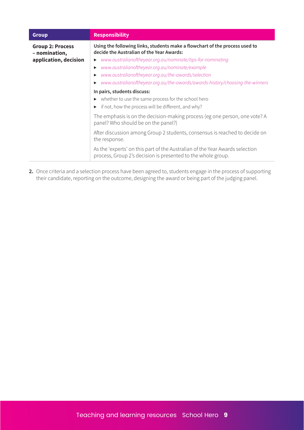| Using the following links, students make a flowchart of the process used to<br><b>Group 2: Process</b><br>decide the Australian of the Year Awards:<br>- nomination,<br>application, decision<br>www.australianoftheyear.org.au/nominate/tips-for-nominating<br>www.australianoftheyear.org.au/nominate/example<br>www.australianoftheyear.org.au/the-awards/selection |
|------------------------------------------------------------------------------------------------------------------------------------------------------------------------------------------------------------------------------------------------------------------------------------------------------------------------------------------------------------------------|
|                                                                                                                                                                                                                                                                                                                                                                        |
|                                                                                                                                                                                                                                                                                                                                                                        |
|                                                                                                                                                                                                                                                                                                                                                                        |
| www.australianoftheyear.org.au/the-awards/awards-history/choosing-the-winners                                                                                                                                                                                                                                                                                          |
| In pairs, students discuss:                                                                                                                                                                                                                                                                                                                                            |
| whether to use the same process for the school hero<br>▶                                                                                                                                                                                                                                                                                                               |
| if not, how the process will be different, and why?                                                                                                                                                                                                                                                                                                                    |
| The emphasis is on the decision-making process (eg one person, one vote? A<br>panel? Who should be on the panel?)                                                                                                                                                                                                                                                      |
| After discussion among Group 2 students, consensus is reached to decide on<br>the response.                                                                                                                                                                                                                                                                            |
| As the 'experts' on this part of the Australian of the Year Awards selection<br>process, Group 2's decision is presented to the whole group.                                                                                                                                                                                                                           |

**2.** Once criteria and a selection process have been agreed to, students engage in the process of supporting their candidate, reporting on the outcome, designing the award or being part of the judging panel.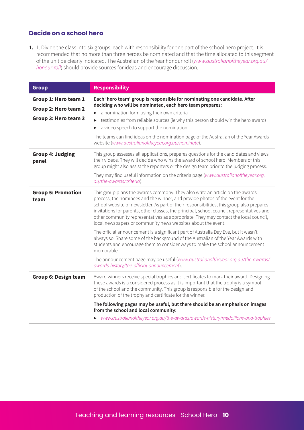#### **Decide on a school hero**

**1.** 1. Divide the class into six groups, each with responsibility for one part of the school hero project. It is recommended that no more than three heroes be nominated and that the time allocated to this segment of the unit be clearly indicated. The Australian of the Year honour roll (*www.australianoftheyear.org.au/ honour-roll*) should provide sources for ideas and encourage discussion.

| <b>Group</b>                                                         | <b>Responsibility</b>                                                                                                                                                                                                                                                                                                                                                                                                                                                                                            |
|----------------------------------------------------------------------|------------------------------------------------------------------------------------------------------------------------------------------------------------------------------------------------------------------------------------------------------------------------------------------------------------------------------------------------------------------------------------------------------------------------------------------------------------------------------------------------------------------|
| Group 1: Hero team 1<br>Group 2: Hero team 2<br>Group 3: Hero team 3 | Each 'hero team' group is responsible for nominating one candidate. After<br>deciding who will be nominated, each hero team prepares:<br>a nomination form using their own criteria<br>testimonies from reliable sources (ie why this person should win the hero award)<br>▶<br>a video speech to support the nomination.<br>$\blacktriangleright$<br>The teams can find ideas on the nomination page of the Australian of the Year Awards<br>website (www.australianoftheyear.org.au/nominate).                 |
| <b>Group 4: Judging</b><br>panel                                     | This group assesses all applications, prepares questions for the candidates and views<br>their videos. They will decide who wins the award of school hero. Members of this<br>group might also assist the reporters or the design team prior to the judging process.<br>They may find useful information on the criteria page (www.australianoftheyear.org.<br>au/the-awards/criteria).                                                                                                                          |
| <b>Group 5: Promotion</b><br>team                                    | This group plans the awards ceremony. They also write an article on the awards<br>process, the nominees and the winner, and provide photos of the event for the<br>school website or newsletter. As part of their responsibilities, this group also prepares<br>invitations for parents, other classes, the principal, school council representatives and<br>other community representatives as appropriate. They may contact the local council,<br>local newspapers or community news websites about the event. |
|                                                                      | The official announcement is a significant part of Australia Day Eve, but it wasn't<br>always so. Share some of the background of the Australian of the Year Awards with<br>students and encourage them to consider ways to make the school announcement<br>memorable.                                                                                                                                                                                                                                           |
|                                                                      | The announcement page may be useful (www.australianoftheyear.org.au/the-awards/<br>awards-history/the-official-announcement).                                                                                                                                                                                                                                                                                                                                                                                    |
| <b>Group 6: Design team</b>                                          | Award winners receive special trophies and certificates to mark their award. Designing<br>these awards is a considered process as it is important that the trophy is a symbol<br>of the school and the community. This group is responsible for the design and<br>production of the trophy and certificate for the winner.                                                                                                                                                                                       |
|                                                                      | The following pages may be useful, but there should be an emphasis on images<br>from the school and local community:<br>• www.australianoftheyear.org.au/the-awards/awards-history/medallions-and-trophies                                                                                                                                                                                                                                                                                                       |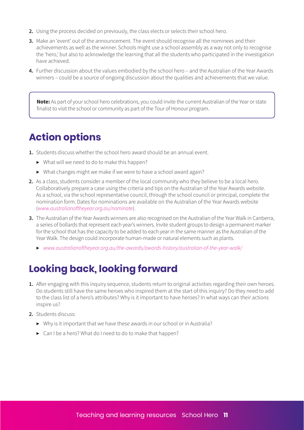- **2.** Using the process decided on previously, the class elects or selects their school hero.
- **3.** Make an 'event' out of the announcement. The event should recognise all the nominees and their achievements as well as the winner. Schools might use a school assembly as a way not only to recognise the 'hero,' but also to acknowledge the learning that all the students who participated in the investigation have achieved.
- **4.** Further discussion about the values embodied by the school hero and the Australian of the Year Awards winners – could be a source of ongoing discussion about the qualities and achievements that we value.

**Note:** As part of your school hero celebrations, you could invite the current Australian of the Year or state finalist to visit the school or community as part of the Tour of Honour program.

### **Action options**

- **1.** Students discuss whether the school hero award should be an annual event.
	- ▶ What will we need to do to make this happen?
	- $\triangleright$  What changes might we make if we were to have a school award again?
- **2.** As a class, students consider a member of the local community who they believe to be a local hero. Collaboratively prepare a case using the criteria and tips on the Australian of the Year Awards website. As a school, via the school representative council, through the school council or principal, complete the nomination form. Dates for nominations are available on the Australian of the Year Awards website (*www.australianoftheyear.org.au/nominate*).
- **3.** The Australian of the Year Awards winners are also recognised on the Australian of the Year Walk in Canberra, a series of bollards that represent each year's winners. Invite student groups to design a permanent marker for the school that has the capacity to be added to each year in the same manner as the Australian of the Year Walk. The design could incorporate human-made or natural elements such as plants.
	- ▶ *www.australianoftheyear.org.au/the-awards/awards-history/australian-of-the-year-walk/*

### **Looking back, looking forward**

- **1.** After engaging with this inquiry sequence, students return to original activities regarding their own heroes. Do students still have the same heroes who inspired them at the start of this inquiry? Do they need to add to the class list of a hero's attributes? Why is it important to have heroes? In what ways can their actions inspire us?
- **2.** Students discuss:
	- ▶ Why is it important that we have these awards in our school or in Australia?
	- ▶ Can I be a hero? What do I need to do to make that happen?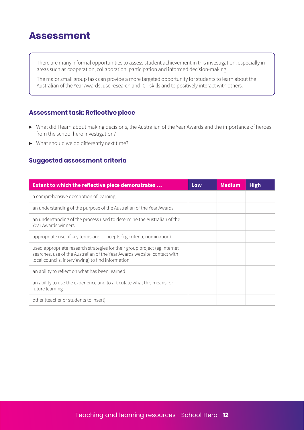### **Assessment**

There are many informal opportunities to assess student achievement in this investigation, especially in areas such as cooperation, collaboration, participation and informed decision-making.

The major small group task can provide a more targeted opportunity for students to learn about the Australian of the Year Awards, use research and ICT skills and to positively interact with others.

#### **Assessment task: Reflective piece**

- ▶ What did I learn about making decisions, the Australian of the Year Awards and the importance of heroes from the school hero investigation?
- $\triangleright$  What should we do differently next time?

#### **Suggested assessment criteria**

| <b>Extent to which the reflective piece demonstrates </b>                                                                                                                                                  | Low | Medium | <b>High</b> |
|------------------------------------------------------------------------------------------------------------------------------------------------------------------------------------------------------------|-----|--------|-------------|
| a comprehensive description of learning                                                                                                                                                                    |     |        |             |
| an understanding of the purpose of the Australian of the Year Awards                                                                                                                                       |     |        |             |
| an understanding of the process used to determine the Australian of the<br>Year Awards winners                                                                                                             |     |        |             |
| appropriate use of key terms and concepts (eg criteria, nomination)                                                                                                                                        |     |        |             |
| used appropriate research strategies for their group project (eg internet<br>searches, use of the Australian of the Year Awards website, contact with<br>local councils, interviewing) to find information |     |        |             |
| an ability to reflect on what has been learned                                                                                                                                                             |     |        |             |
| an ability to use the experience and to articulate what this means for<br>future learning                                                                                                                  |     |        |             |
| other (teacher or students to insert)                                                                                                                                                                      |     |        |             |